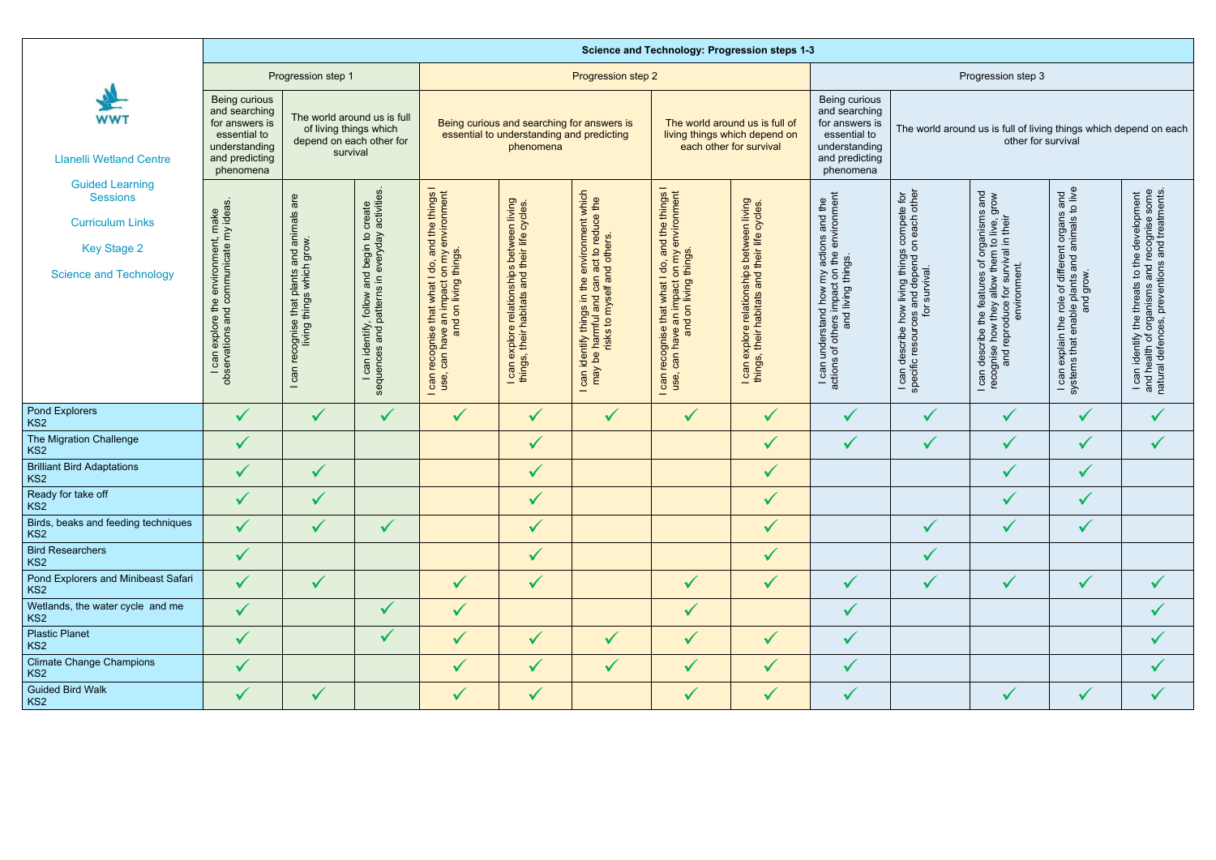|                                                                                                                                                                             |                                                                                                                  | <b>Science and Technology: Progression steps 1-3</b>                                                   |                                                                                              |                                                                                                                                         |                                                                                                                   |                                                                                                                                                                                         |                                                                                                                                                                              |                                                                                             |                                                                                                                                                                   |                                                                                                              |                                                                                                                                                                                                                                     |                                                                                                                                            |                                                                                                                                                                                                 |  |  |  |
|-----------------------------------------------------------------------------------------------------------------------------------------------------------------------------|------------------------------------------------------------------------------------------------------------------|--------------------------------------------------------------------------------------------------------|----------------------------------------------------------------------------------------------|-----------------------------------------------------------------------------------------------------------------------------------------|-------------------------------------------------------------------------------------------------------------------|-----------------------------------------------------------------------------------------------------------------------------------------------------------------------------------------|------------------------------------------------------------------------------------------------------------------------------------------------------------------------------|---------------------------------------------------------------------------------------------|-------------------------------------------------------------------------------------------------------------------------------------------------------------------|--------------------------------------------------------------------------------------------------------------|-------------------------------------------------------------------------------------------------------------------------------------------------------------------------------------------------------------------------------------|--------------------------------------------------------------------------------------------------------------------------------------------|-------------------------------------------------------------------------------------------------------------------------------------------------------------------------------------------------|--|--|--|
|                                                                                                                                                                             |                                                                                                                  | Progression step 1                                                                                     |                                                                                              |                                                                                                                                         |                                                                                                                   | Progression step 2                                                                                                                                                                      |                                                                                                                                                                              |                                                                                             | Progression step 3                                                                                                                                                |                                                                                                              |                                                                                                                                                                                                                                     |                                                                                                                                            |                                                                                                                                                                                                 |  |  |  |
| <b>WWT</b><br><b>Llanelli Wetland Centre</b><br><b>Guided Learning</b><br><b>Sessions</b><br><b>Curriculum Links</b><br><b>Key Stage 2</b><br><b>Science and Technology</b> | Being curious<br>and searching<br>for answers is<br>essential to<br>understanding<br>and predicting<br>phenomena | The world around us is full<br>of living things which<br>depend on each other for<br>survival          |                                                                                              |                                                                                                                                         | Being curious and searching for answers is<br>essential to understanding and predicting<br>phenomena              |                                                                                                                                                                                         | The world around us is full of<br>living things which depend on<br>each other for survival                                                                                   |                                                                                             | Being curious<br>and searching<br>for answers is<br>essential to<br>understanding<br>and predicting<br>phenomena                                                  | The world around us is full of living things which depend on each<br>other for survival                      |                                                                                                                                                                                                                                     |                                                                                                                                            |                                                                                                                                                                                                 |  |  |  |
|                                                                                                                                                                             | I can explore the environment, make<br>observations and communicate my idea                                      | are<br>animals<br>grow.<br>and<br>plants a<br>s which<br>cognise that pl<br>living things<br>ē,<br>can | I can identify, follow and begin to create<br>sequences and patterns in everyday activities. | can recognise that what I do, and the things<br>use, can have an impact on my environment<br>and on living things.<br>$\qquad \qquad -$ | e relationships between living<br>habitats and their life cycles.<br>explore<br>s, their h<br>l can ex<br>things, | which<br>he environment which<br>aan act to reduce the<br>f and others.<br>I and can:<br>myself an<br>l can identify things in the e<br>may be harmful and can a<br>risks to myself and | nd the things I<br>environment<br>and<br>on living things<br>$\widetilde{E}$<br>do,<br>$\overline{5}$<br>-<br>an impact<br>what<br>that<br>and<br>recognise t<br>can<br>use, | I can explore relationships between living<br>things, their habitats and their life cycles. | onment<br>and the<br>$rac{8}{9}$<br>actions<br>I the env<br>n understand how my actions<br>as of others impact on the<br>and living things.<br>I can u<br>actions | I can describe how living things compete for<br>specific resources and depend on each other<br>for survival. | woug<br>a<br>ires of organisms a<br>ow them to live, gr<br>survival in their<br>how they allow them<br>reproduce for survival<br>environment<br>features<br>describe the<br>I can descri<br>recognise l<br>and<br>$\qquad \qquad -$ | of different organs and<br>ants and animals to live<br>grow.<br>n the role of<br>enable pla<br>and of<br>I can explain t<br>systems that e | s to the development<br>i and recognise some<br>ntions and treatments.<br>threats to the<br>I can identify the threats to the<br>and health of organisms and r<br>natural defences, preventions |  |  |  |
| Pond Explorers<br>KS <sub>2</sub>                                                                                                                                           | $\checkmark$                                                                                                     | $\checkmark$                                                                                           | $\checkmark$                                                                                 | $\checkmark$                                                                                                                            | $\checkmark$                                                                                                      | $\checkmark$                                                                                                                                                                            | $\checkmark$                                                                                                                                                                 | $\checkmark$                                                                                | $\checkmark$                                                                                                                                                      | $\checkmark$                                                                                                 | $\checkmark$                                                                                                                                                                                                                        | $\checkmark$                                                                                                                               | $\checkmark$                                                                                                                                                                                    |  |  |  |
| The Migration Challenge<br>KS <sub>2</sub>                                                                                                                                  | $\checkmark$                                                                                                     |                                                                                                        |                                                                                              |                                                                                                                                         | $\checkmark$                                                                                                      |                                                                                                                                                                                         |                                                                                                                                                                              | $\checkmark$                                                                                | $\checkmark$                                                                                                                                                      | $\checkmark$                                                                                                 | $\checkmark$                                                                                                                                                                                                                        | $\checkmark$                                                                                                                               | $\checkmark$                                                                                                                                                                                    |  |  |  |
| <b>Brilliant Bird Adaptations</b><br>KS <sub>2</sub>                                                                                                                        | $\checkmark$                                                                                                     | $\checkmark$                                                                                           |                                                                                              |                                                                                                                                         | $\checkmark$                                                                                                      |                                                                                                                                                                                         |                                                                                                                                                                              | $\checkmark$                                                                                |                                                                                                                                                                   |                                                                                                              | $\checkmark$                                                                                                                                                                                                                        | $\checkmark$                                                                                                                               |                                                                                                                                                                                                 |  |  |  |
| Ready for take off<br>KS <sub>2</sub>                                                                                                                                       | $\overline{\phantom{a}}$                                                                                         | $\checkmark$                                                                                           |                                                                                              |                                                                                                                                         | $\checkmark$                                                                                                      |                                                                                                                                                                                         |                                                                                                                                                                              | $\checkmark$                                                                                |                                                                                                                                                                   |                                                                                                              |                                                                                                                                                                                                                                     |                                                                                                                                            |                                                                                                                                                                                                 |  |  |  |
| Birds, beaks and feeding techniques<br>KS <sub>2</sub>                                                                                                                      | $\checkmark$                                                                                                     | $\checkmark$                                                                                           | $\sqrt{}$                                                                                    |                                                                                                                                         | $\checkmark$                                                                                                      |                                                                                                                                                                                         |                                                                                                                                                                              | $\checkmark$                                                                                |                                                                                                                                                                   | $\checkmark$                                                                                                 |                                                                                                                                                                                                                                     | $\checkmark$                                                                                                                               |                                                                                                                                                                                                 |  |  |  |
| <b>Bird Researchers</b><br>KS <sub>2</sub>                                                                                                                                  | $\checkmark$                                                                                                     |                                                                                                        |                                                                                              |                                                                                                                                         | $\checkmark$                                                                                                      |                                                                                                                                                                                         |                                                                                                                                                                              | $\checkmark$                                                                                |                                                                                                                                                                   | $\checkmark$                                                                                                 |                                                                                                                                                                                                                                     |                                                                                                                                            |                                                                                                                                                                                                 |  |  |  |
| Pond Explorers and Minibeast Safari<br>KS <sub>2</sub>                                                                                                                      | $\checkmark$                                                                                                     | $\checkmark$                                                                                           |                                                                                              | $\checkmark$                                                                                                                            | $\checkmark$                                                                                                      |                                                                                                                                                                                         | $\checkmark$                                                                                                                                                                 | $\checkmark$                                                                                | $\checkmark$                                                                                                                                                      | $\checkmark$                                                                                                 | $\checkmark$                                                                                                                                                                                                                        | $\checkmark$                                                                                                                               |                                                                                                                                                                                                 |  |  |  |
| Wetlands, the water cycle and me<br>KS <sub>2</sub>                                                                                                                         | $\checkmark$                                                                                                     |                                                                                                        | $\checkmark$                                                                                 | $\checkmark$                                                                                                                            |                                                                                                                   |                                                                                                                                                                                         | $\checkmark$                                                                                                                                                                 |                                                                                             | $\checkmark$                                                                                                                                                      |                                                                                                              |                                                                                                                                                                                                                                     |                                                                                                                                            |                                                                                                                                                                                                 |  |  |  |
| <b>Plastic Planet</b><br>KS <sub>2</sub>                                                                                                                                    | $\checkmark$                                                                                                     |                                                                                                        | $\checkmark$                                                                                 | $\checkmark$                                                                                                                            | $\checkmark$                                                                                                      | $\checkmark$                                                                                                                                                                            | $\checkmark$                                                                                                                                                                 | $\checkmark$                                                                                | $\checkmark$                                                                                                                                                      |                                                                                                              |                                                                                                                                                                                                                                     |                                                                                                                                            |                                                                                                                                                                                                 |  |  |  |
| <b>Climate Change Champions</b><br>KS <sub>2</sub>                                                                                                                          | $\checkmark$                                                                                                     |                                                                                                        |                                                                                              | $\checkmark$                                                                                                                            | $\checkmark$                                                                                                      | $\checkmark$                                                                                                                                                                            | $\checkmark$                                                                                                                                                                 | $\checkmark$                                                                                | $\checkmark$                                                                                                                                                      |                                                                                                              |                                                                                                                                                                                                                                     |                                                                                                                                            | $\checkmark$                                                                                                                                                                                    |  |  |  |
| <b>Guided Bird Walk</b><br>KS <sub>2</sub>                                                                                                                                  | $\checkmark$                                                                                                     | $\checkmark$                                                                                           |                                                                                              | $\checkmark$                                                                                                                            | $\checkmark$                                                                                                      |                                                                                                                                                                                         | $\checkmark$                                                                                                                                                                 | $\checkmark$                                                                                | $\checkmark$                                                                                                                                                      |                                                                                                              | $\checkmark$                                                                                                                                                                                                                        | $\checkmark$                                                                                                                               | $\checkmark$                                                                                                                                                                                    |  |  |  |